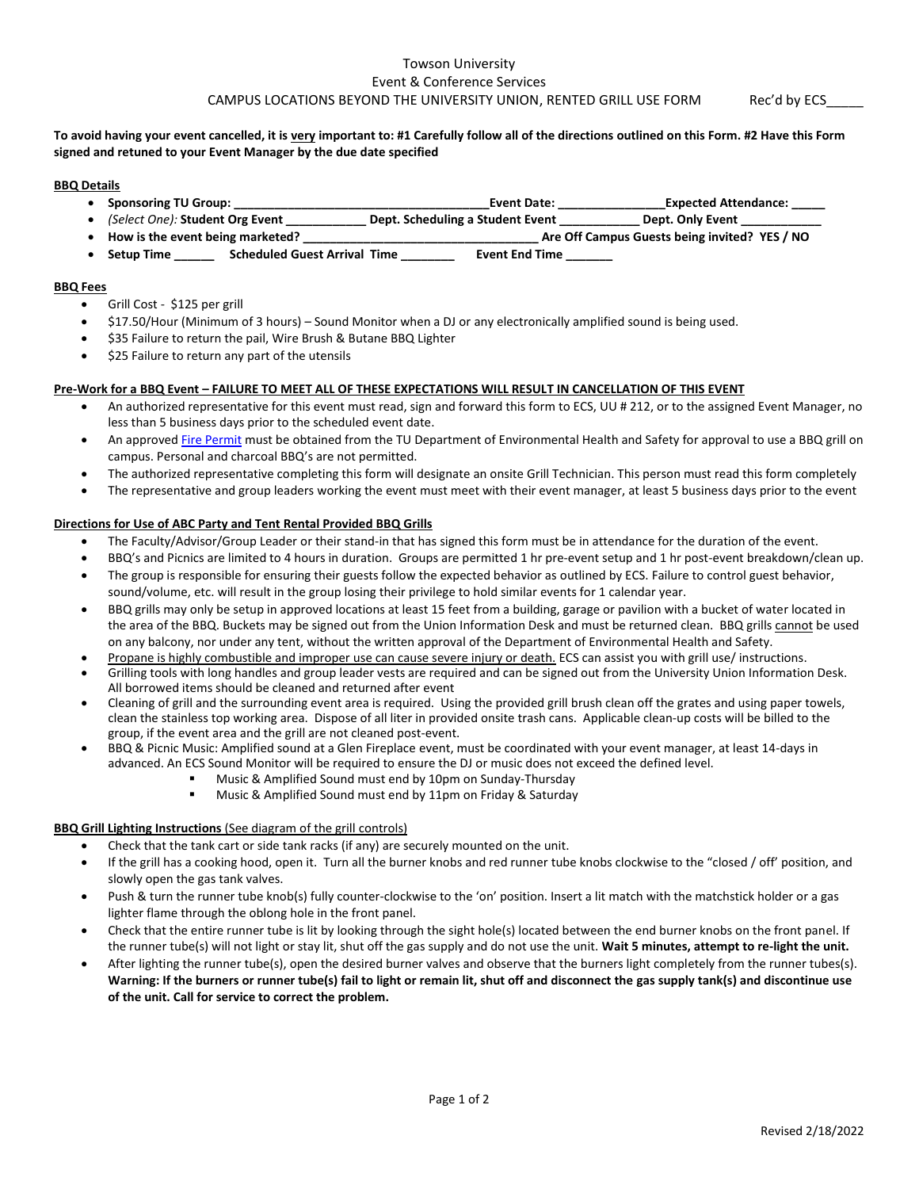# Towson University Event & Conference Services CAMPUS LOCATIONS BEYOND THE UNIVERSITY UNION, RENTED GRILL USE FORM Rec'd by ECS

### **To avoid having your event cancelled, it is very important to: #1 Carefully follow all of the directions outlined on this Form. #2 Have this Form signed and retuned to your Event Manager by the due date specified**

### **BBQ Details**

- **Sponsoring TU Group: \_\_\_\_\_\_\_\_\_\_\_\_\_\_\_\_\_\_\_\_\_\_\_\_\_\_\_\_\_\_\_\_\_\_\_\_\_\_Event Date: \_\_\_\_\_\_\_\_\_\_\_\_\_\_\_\_Expected Attendance: \_\_\_\_\_**
- *(Select One):* **Student Org Event \_\_\_\_\_\_\_\_\_\_\_\_ Dept. Scheduling a Student Event \_\_\_\_\_\_\_\_\_\_\_\_ Dept. Only Event \_\_\_\_\_\_\_\_\_\_\_\_**
- **How is the event being marketed? \_\_\_\_\_\_\_\_\_\_\_\_\_\_\_\_\_\_\_\_\_\_\_\_\_\_\_\_\_\_\_\_\_\_\_ Are Off Campus Guests being invited? YES / NO**
- **Setup Time \_\_\_\_\_\_ Scheduled Guest Arrival Time \_\_\_\_\_\_\_\_ Event End Time \_\_\_\_\_\_\_**

# **BBQ Fees**

- Grill Cost \$125 per grill
- \$17.50/Hour (Minimum of 3 hours) Sound Monitor when a DJ or any electronically amplified sound is being used.
- \$35 Failure to return the pail, Wire Brush & Butane BBQ Lighter
- \$25 Failure to return any part of the utensils

# **Pre-Work for a BBQ Event – FAILURE TO MEET ALL OF THESE EXPECTATIONS WILL RESULT IN CANCELLATION OF THIS EVENT**

- An authorized representative for this event must read, sign and forward this form to ECS, UU # 212, or to the assigned Event Manager, no less than 5 business days prior to the scheduled event date.
- An approved [Fire Permit](http://wwwnew.towson.edu/adminfinance/Facilities/EHS/documents/FirePermit_08-11.pdf) must be obtained from the TU Department of Environmental Health and Safety for approval to use a BBQ grill on campus. Personal and charcoal BBQ's are not permitted.
- The authorized representative completing this form will designate an onsite Grill Technician. This person must read this form completely
- The representative and group leaders working the event must meet with their event manager, at least 5 business days prior to the event

# **Directions for Use of ABC Party and Tent Rental Provided BBQ Grills**

- The Faculty/Advisor/Group Leader or their stand-in that has signed this form must be in attendance for the duration of the event.
- BBQ's and Picnics are limited to 4 hours in duration. Groups are permitted 1 hr pre-event setup and 1 hr post-event breakdown/clean up.
- The group is responsible for ensuring their guests follow the expected behavior as outlined by ECS. Failure to control guest behavior, sound/volume, etc. will result in the group losing their privilege to hold similar events for 1 calendar year.
- BBQ grills may only be setup in approved locations at least 15 feet from a building, garage or pavilion with a bucket of water located in the area of the BBQ. Buckets may be signed out from the Union Information Desk and must be returned clean. BBQ grills cannot be used on any balcony, nor under any tent, without the written approval of the Department of Environmental Health and Safety.
- Propane is highly combustible and improper use can cause severe injury or death. ECS can assist you with grill use/ instructions.
- Grilling tools with long handles and group leader vests are required and can be signed out from the University Union Information Desk. All borrowed items should be cleaned and returned after event
- Cleaning of grill and the surrounding event area is required. Using the provided grill brush clean off the grates and using paper towels, clean the stainless top working area. Dispose of all liter in provided onsite trash cans. Applicable clean-up costs will be billed to the group, if the event area and the grill are not cleaned post-event.
- BBQ & Picnic Music: Amplified sound at a Glen Fireplace event, must be coordinated with your event manager, at least 14-days in advanced. An ECS Sound Monitor will be required to ensure the DJ or music does not exceed the defined level.
	- Music & Amplified Sound must end by 10pm on Sunday-Thursday
	- Music & Amplified Sound must end by 11pm on Friday & Saturday

### **BBQ Grill Lighting Instructions** (See diagram of the grill controls)

- Check that the tank cart or side tank racks (if any) are securely mounted on the unit.
- If the grill has a cooking hood, open it. Turn all the burner knobs and red runner tube knobs clockwise to the "closed / off' position, and slowly open the gas tank valves.
- Push & turn the runner tube knob(s) fully counter-clockwise to the 'on' position. Insert a lit match with the matchstick holder or a gas lighter flame through the oblong hole in the front panel.
- Check that the entire runner tube is lit by looking through the sight hole(s) located between the end burner knobs on the front panel. If the runner tube(s) will not light or stay lit, shut off the gas supply and do not use the unit. **Wait 5 minutes, attempt to re-light the unit.**
- After lighting the runner tube(s), open the desired burner valves and observe that the burners light completely from the runner tubes(s). **Warning: If the burners or runner tube(s) fail to light or remain lit, shut off and disconnect the gas supply tank(s) and discontinue use of the unit. Call for service to correct the problem.**